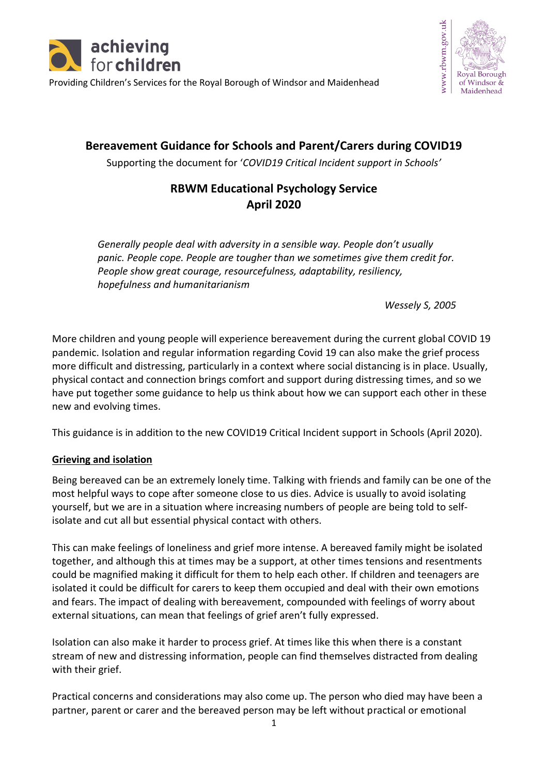





**Bereavement Guidance for Schools and Parent/Carers during COVID19**

Supporting the document for '*COVID19 Critical Incident support in Schools'*

# **RBWM Educational Psychology Service April 2020**

*Generally people deal with adversity in a sensible way. People don't usually panic. People cope. People are tougher than we sometimes give them credit for. People show great courage, resourcefulness, adaptability, resiliency, hopefulness and humanitarianism*

*Wessely S, 2005*

More children and young people will experience bereavement during the current global COVID 19 pandemic. Isolation and regular information regarding Covid 19 can also make the grief process more difficult and distressing, particularly in a context where social distancing is in place. Usually, physical contact and connection brings comfort and support during distressing times, and so we have put together some guidance to help us think about how we can support each other in these new and evolving times.

This guidance is in addition to the new COVID19 Critical Incident support in Schools (April 2020).

## **Grieving and isolation**

Being bereaved can be an extremely lonely time. Talking with friends and family can be one of the most helpful ways to cope after someone close to us dies. Advice is usually to avoid isolating yourself, but we are in a situation where increasing numbers of people are being told to selfisolate and cut all but essential physical contact with others.

This can make feelings of loneliness and grief more intense. A bereaved family might be isolated together, and although this at times may be a support, at other times tensions and resentments could be magnified making it difficult for them to help each other. If children and teenagers are isolated it could be difficult for carers to keep them occupied and deal with their own emotions and fears. The impact of dealing with bereavement, compounded with feelings of worry about external situations, can mean that feelings of grief aren't fully expressed.

Isolation can also make it harder to process grief. At times like this when there is a constant stream of new and distressing information, people can find themselves distracted from dealing with their grief.

Practical concerns and considerations may also come up. The person who died may have been a partner, parent or carer and the bereaved person may be left without practical or emotional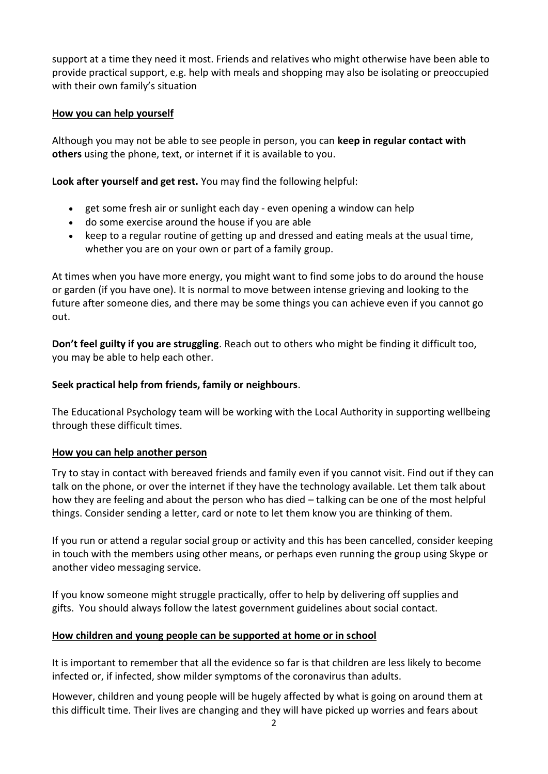support at a time they need it most. Friends and relatives who might otherwise have been able to provide practical support, e.g. help with meals and shopping may also be isolating or preoccupied with their own family's situation

## **How you can help yourself**

Although you may not be able to see people in person, you can **keep in regular contact with others** using the phone, text, or internet if it is available to you.

**Look after yourself and get rest.** You may find the following helpful:

- get some fresh air or sunlight each day even opening a window can help
- do some exercise around the house if you are able
- keep to a regular routine of getting up and dressed and eating meals at the usual time, whether you are on your own or part of a family group.

At times when you have more energy, you might want to find some jobs to do around the house or garden (if you have one). It is normal to move between intense grieving and looking to the future after someone dies, and there may be some things you can achieve even if you cannot go out.

**Don't feel guilty if you are struggling**. Reach out to others who might be finding it difficult too, you may be able to help each other.

## **Seek practical help from friends, family or neighbours**.

The Educational Psychology team will be working with the Local Authority in supporting wellbeing through these difficult times.

#### **How you can help another person**

Try to stay in contact with bereaved friends and family even if you cannot visit. Find out if they can talk on the phone, or over the internet if they have the technology available. Let them talk about how they are feeling and about the person who has died – talking can be one of the most helpful things. Consider sending a letter, card or note to let them know you are thinking of them.

If you run or attend a regular social group or activity and this has been cancelled, consider keeping in touch with the members using other means, or perhaps even running the group using Skype or another video messaging service.

If you know someone might struggle practically, offer to help by delivering off supplies and gifts. You should always follow the latest government guidelines about social contact.

## **How children and young people can be supported at home or in school**

It is important to remember that all the evidence so far is that children are less likely to become infected or, if infected, show milder symptoms of the coronavirus than adults.

However, children and young people will be hugely affected by what is going on around them at this difficult time. Their lives are changing and they will have picked up worries and fears about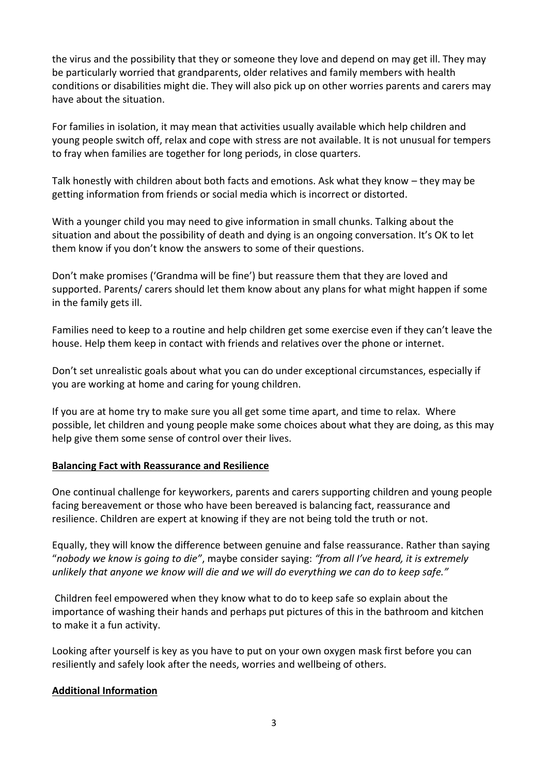the virus and the possibility that they or someone they love and depend on may get ill. They may be particularly worried that grandparents, older relatives and family members with health conditions or disabilities might die. They will also pick up on other worries parents and carers may have about the situation.

For families in isolation, it may mean that activities usually available which help children and young people switch off, relax and cope with stress are not available. It is not unusual for tempers to fray when families are together for long periods, in close quarters.

Talk honestly with children about both facts and emotions. Ask what they know – they may be getting information from friends or social media which is incorrect or distorted.

With a younger child you may need to give information in small chunks. Talking about the situation and about the possibility of death and dying is an ongoing conversation. It's OK to let them know if you don't know the answers to some of their questions.

Don't make promises ('Grandma will be fine') but reassure them that they are loved and supported. Parents/ carers should let them know about any plans for what might happen if some in the family gets ill.

Families need to keep to a routine and help children get some exercise even if they can't leave the house. Help them keep in contact with friends and relatives over the phone or internet.

Don't set unrealistic goals about what you can do under exceptional circumstances, especially if you are working at home and caring for young children.

If you are at home try to make sure you all get some time apart, and time to relax. Where possible, let children and young people make some choices about what they are doing, as this may help give them some sense of control over their lives.

## **Balancing Fact with Reassurance and Resilience**

One continual challenge for keyworkers, parents and carers supporting children and young people facing bereavement or those who have been bereaved is balancing fact, reassurance and resilience. Children are expert at knowing if they are not being told the truth or not.

Equally, they will know the difference between genuine and false reassurance. Rather than saying "*nobody we know is going to die"*, maybe consider saying: *"from all I've heard, it is extremely unlikely that anyone we know will die and we will do everything we can do to keep safe."*

Children feel empowered when they know what to do to keep safe so explain about the importance of washing their hands and perhaps put pictures of this in the bathroom and kitchen to make it a fun activity.

Looking after yourself is key as you have to put on your own oxygen mask first before you can resiliently and safely look after the needs, worries and wellbeing of others.

## **Additional Information**